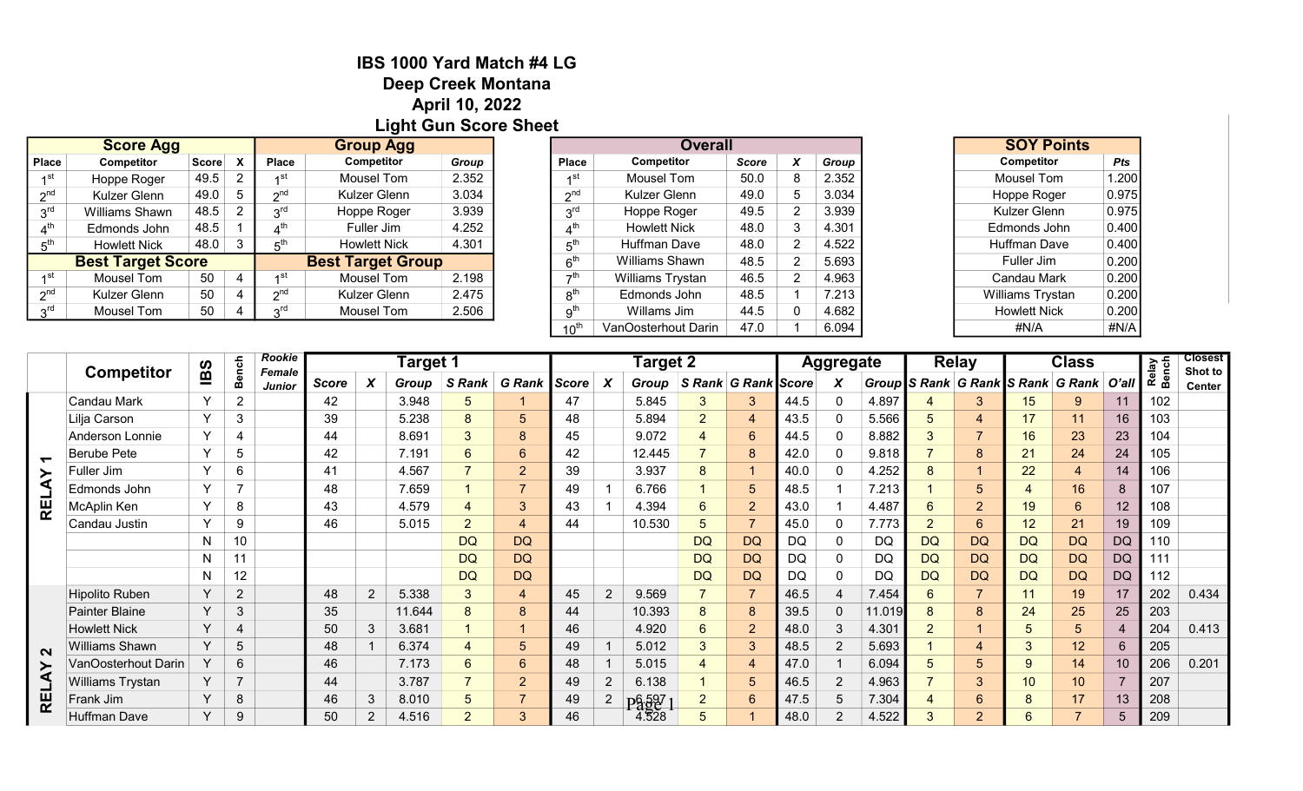## IBS 1000 Yard Match #4 LG Deep Creek Montana April 10, 2022 Light Gun Score Sheet

|                 | <b>Score Agg</b>         |       |                           | <b>Group Agg</b>  |                          |       |  |  |  |
|-----------------|--------------------------|-------|---------------------------|-------------------|--------------------------|-------|--|--|--|
| <b>Place</b>    | Competitor               | Score | $\boldsymbol{\mathsf{x}}$ | <b>Place</b>      | Competitor               | Group |  |  |  |
| ⊿st             | Hoppe Roger              | 49.5  |                           | ⊿st               | Mousel Tom               | 2.352 |  |  |  |
| 2 <sup>nd</sup> | Kulzer Glenn             | 49.0  | $\mathbf b$               | $\sim$ nd         | Kulzer Glenn             | 3.034 |  |  |  |
| 3 <sup>rd</sup> | Williams Shawn           | 48.5  |                           | 2 <sup>rd</sup>   | Hoppe Roger              | 3.939 |  |  |  |
|                 | Edmonds John             | 48.5  |                           | $A^{\mathsf{th}}$ | Fuller Jim               | 4.252 |  |  |  |
| 5 <sup>th</sup> | <b>Howlett Nick</b>      | 48.0  |                           | ռ™                | <b>Howlett Nick</b>      | 4.301 |  |  |  |
|                 | <b>Best Target Score</b> |       |                           |                   | <b>Best Target Group</b> |       |  |  |  |
| ⊿st             | Mousel Tom               | 50    | 4                         | ⊿st               | Mousel Tom               | 2.198 |  |  |  |
| $2^{nd}$        | Kulzer Glenn             | 50    | 4                         | $\lambda$ nd      | Kulzer Glenn             | 2.475 |  |  |  |
| rd د            | Mousel Tom               | 50    |                           | rdر               | Mousel Tom               | 2.506 |  |  |  |
|                 |                          |       |                           |                   |                          |       |  |  |  |

| <b>Group Agg</b>    |       |                 | <b>Overall</b>      |       |   |       |
|---------------------|-------|-----------------|---------------------|-------|---|-------|
| <b>Competitor</b>   | Group | <b>Place</b>    | <b>Competitor</b>   | Score | X | Group |
| Mousel Tom          | 2.352 | ⊿st             | Mousel Tom          | 50.0  | 8 | 2.352 |
| Kulzer Glenn        | 3.034 | $\gamma$ nd     | Kulzer Glenn        | 49.0  | 5 | 3.034 |
| Hoppe Roger         | 3.939 | 3 <sup>rd</sup> | Hoppe Roger         | 49.5  | 2 | 3.939 |
| Fuller Jim          | 4.252 | $4^{\text{th}}$ | <b>Howlett Nick</b> | 48.0  | 3 | 4.301 |
| <b>Howlett Nick</b> | 4.301 | 5 <sup>th</sup> | <b>Huffman Dave</b> | 48.0  | 2 | 4.522 |
| Target Group        |       | 6 <sup>th</sup> | Williams Shawn      | 48.5  | 2 | 5.693 |
| Mousel Tom          | 2.198 | →th             | Williams Trystan    | 46.5  | 2 | 4.963 |
| Kulzer Glenn        | 2.475 | 8 <sup>th</sup> | Edmonds John        | 48.5  |   | 7.213 |
| Mousel Tom          | 2.506 | 9 <sup>th</sup> | Willams Jim         | 44.5  | 0 | 4.682 |
|                     |       | $10^{th}$       | VanOosterhout Darin | 47.0  |   | 6.094 |

| <b>SOY Points</b>   |       |
|---------------------|-------|
| Competitor          | Pts   |
| <b>Mousel Tom</b>   | 1.200 |
| Hoppe Roger         | 0.975 |
| Kulzer Glenn        | 0.975 |
| Edmonds John        | 0.400 |
| <b>Huffman Dave</b> | 0.400 |
| Fuller Jim          | 0.200 |
| Candau Mark         | 0.200 |
| Williams Trystan    | 0.200 |
| <b>Howlett Nick</b> | 0.200 |
| #N/A                | #N/A  |

|                                   | <b>Competitor</b>       |              | <b>Bench</b>   | Rookie<br><b>Female</b> |       |                  | Target 1 |                     |                          |    |                | <b>Target 2</b> |                          |                     |           | <b>Aggregate</b> |        |                 | <b>Relay</b>   |    | <b>Class</b>                            |                 | Relay<br>Bench | <b>Closest</b>                               |
|-----------------------------------|-------------------------|--------------|----------------|-------------------------|-------|------------------|----------|---------------------|--------------------------|----|----------------|-----------------|--------------------------|---------------------|-----------|------------------|--------|-----------------|----------------|----|-----------------------------------------|-----------------|----------------|----------------------------------------------|
|                                   |                         | BS           |                | <b>Junior</b>           | Score | $\boldsymbol{x}$ | Group    | S Rank G Rank Score |                          |    |                | Group           |                          | S Rank G Rank Score |           | X                |        |                 |                |    | Group S Rank G Rank S Rank G Rank O'all |                 |                | Shot to<br>Center<br>0.434<br>0.413<br>0.201 |
|                                   | Candau Mark             | $\vee$       | $\overline{2}$ |                         | 42    |                  | 3.948    | 5                   |                          | 47 |                | 5.845           | 3                        | 3                   | 44.5      | 0                | 4.897  |                 |                | 15 | 9                                       | 11              | 102            |                                              |
|                                   | Lilja Carson            | $\vee$       | 3              |                         | 39    |                  | 5.238    | 8                   | $\overline{5}$           | 48 |                | 5.894           | $\overline{2}$           |                     | 43.5      | 0                | 5.566  | 5               |                |    | 11                                      | 16              | 103            |                                              |
|                                   | Anderson Lonnie         | $\vee$       | 4              |                         | 44    |                  | 8.691    | 3                   | 8                        | 45 |                | 9.072           |                          | 6                   | 44.5      | 0                | 8.882  | 3               |                | 16 | 23                                      | 23              | 104            |                                              |
| $\blacktriangledown$              | Berube Pete             | $\checkmark$ | 5              |                         | 42    |                  | 7.191    | 6                   | $6\phantom{1}$           | 42 |                | 12.445          | $\overline{\phantom{a}}$ | 8                   | 42.0      | 0                | 9.816  |                 | 8              | 21 | 24                                      | 24              | 105            |                                              |
| $\blacktriangleright$             | Fuller Jim              | $\checkmark$ | 6              |                         | 41    |                  | 4.567    |                     | $\overline{2}$           | 39 |                | 3.937           | 8                        |                     | 40.0      | 0                | 4.252  | 8               |                | 22 | $\overline{4}$                          | 14              | 106            |                                              |
| ⋖<br>└<br>$\overline{\mathbf{R}}$ | Edmonds John            | $\checkmark$ | <u>_</u>       |                         | 48    |                  | 7.659    |                     | $\overline{\phantom{a}}$ | 49 |                | 6.766           |                          | 5                   | 48.5      |                  | 7.213  |                 |                |    | 16                                      | 8               | 107            |                                              |
|                                   | McAplin Ken             | $\checkmark$ | 8              |                         | 43    |                  | 4.579    |                     | 3                        | 43 |                | 4.394           | $6\phantom{1}$           | $\overline{2}$      | 43.0      |                  | 4.48   | 6               | $\overline{2}$ | 19 | $6\phantom{1}$                          | 12              | 108            |                                              |
|                                   | Candau Justin           | $\checkmark$ | 9              |                         | 46    |                  | 5.015    | $\overline{2}$      | $\overline{4}$           | 44 |                | 10.530          | 5                        |                     | 45.0      | 0                | 7.773  | $\overline{2}$  | 6              | 12 | 21                                      | 19              | 109            |                                              |
|                                   |                         | N            | 10             |                         |       |                  |          | <b>DQ</b>           | <b>DQ</b>                |    |                |                 | <b>DQ</b>                | <b>DQ</b>           | <b>DQ</b> | 0                | DQ     | DQ              | <b>DQ</b>      | DQ | <b>DQ</b>                               | <b>DQ</b>       | 110            |                                              |
|                                   |                         | N            | 11             |                         |       |                  |          | <b>DQ</b>           | <b>DQ</b>                |    |                |                 | <b>DQ</b>                | <b>DQ</b>           | <b>DQ</b> | 0                | DQ     | DQ              | <b>DQ</b>      | DQ | <b>DQ</b>                               | <b>DQ</b>       | 111            |                                              |
|                                   |                         | $\mathsf{N}$ | 12             |                         |       |                  |          | <b>DQ</b>           | <b>DQ</b>                |    |                |                 | <b>DQ</b>                | <b>DQ</b>           | DQ        | $\Omega$         | DQ     | DQ              | <b>DQ</b>      | DQ | <b>DQ</b>                               | <b>DQ</b>       | 112            |                                              |
|                                   | <b>Hipolito Ruben</b>   | Y            | $\overline{2}$ |                         | 48    | $\overline{2}$   | 5.338    | $\mathbf{3}$        | $\overline{4}$           | 45 | $2^{\circ}$    | 9.569           | $\overline{\phantom{a}}$ |                     | 46.5      |                  | 7.454  | $6\phantom{1}6$ |                | 11 | 19                                      | 17              | 202            |                                              |
|                                   | <b>Painter Blaine</b>   | Y            | 3              |                         | 35    |                  | 11.644   | 8                   | 8                        | 44 |                | 10.393          | 8                        | -8                  | 39.5      | $\mathbf 0$      | 11.019 | 8               | 8              | 24 | 25                                      | 25              | 203            |                                              |
| $\mathbf{\Omega}$<br><b>RELAY</b> | <b>Howlett Nick</b>     | Y            | $\overline{4}$ |                         | 50    | 3                | 3.681    |                     |                          | 46 |                | 4.920           | $6\phantom{1}$           | $\overline{2}$      | 48.0      | 3                | 4.30   | $\overline{2}$  |                | b  | $5\overline{)}$                         |                 | 204            |                                              |
|                                   | Williams Shawn          | $\vee$       | 5              |                         | 48    |                  | 6.374    |                     | $5\overline{)}$          | 49 |                | 5.012           | 3                        | -3                  | 48.5      | $\overline{2}$   | 5.693  |                 |                | 3  | 12 <sup>°</sup>                         | $6\phantom{.}6$ | 205            |                                              |
|                                   | VanOosterhout Darin     |              | 6              |                         | 46    |                  | 7.173    | 6                   | $6\phantom{1}$           | 48 |                | 5.015           |                          |                     | 47.0      |                  | 6.094  | 5               |                | 9  | 14                                      | 10              | 206            |                                              |
|                                   | <b>Williams Trystan</b> |              | $\overline{7}$ |                         | 44    |                  | 3.787    |                     | $\overline{2}$           | 49 | $\overline{2}$ | 6.138           |                          | 5                   | 46.5      |                  | 4.963  |                 |                | 10 | 10 <sup>°</sup>                         |                 | 207            |                                              |
|                                   | Frank Jim               | <b>V</b>     | 8              |                         | 46    | 3                | 8.010    | 5                   | $\overline{\phantom{0}}$ | 49 |                | Pågg7           | $\overline{2}$           | 6                   | 47.5      | 5                | 7.304  |                 | 6              | 8  | 17                                      | 13              | 208            |                                              |
|                                   | <b>Huffman Dave</b>     | $\checkmark$ | 9              |                         | 50    | 2                | 4.516    | $\overline{2}$      | 3                        | 46 |                | 4.528           | 5                        |                     | 48.0      | $\overline{2}$   | 4.522  | 3               |                | 6  | $\overline{ }$                          | 5               | 209            |                                              |